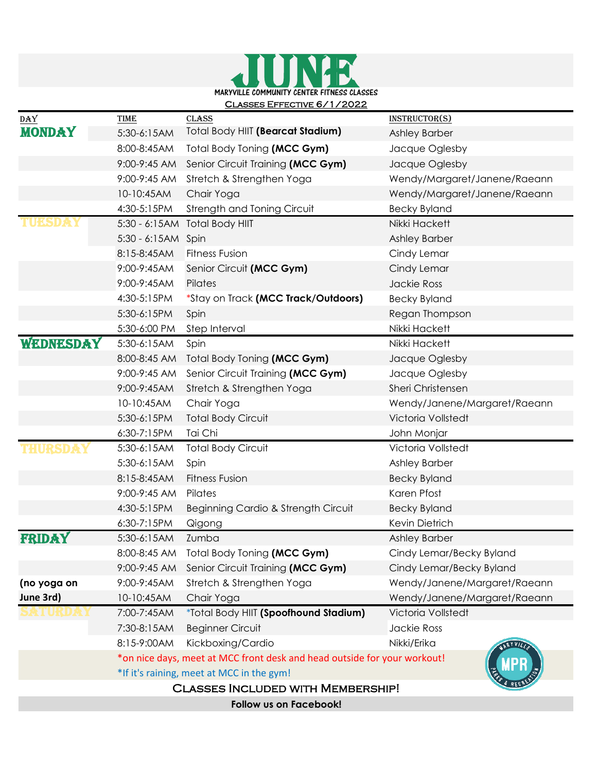

| DAY                                      | <b>TIME</b>                                                                                                           | <b>CLASS</b>                             | <b>INSTRUCTOR(S)</b>         |
|------------------------------------------|-----------------------------------------------------------------------------------------------------------------------|------------------------------------------|------------------------------|
| <b>MONDAY</b>                            | 5:30-6:15AM                                                                                                           | Total Body HIIT (Bearcat Stadium)        | Ashley Barber                |
|                                          | 8:00-8:45AM                                                                                                           | Total Body Toning (MCC Gym)              | Jacque Oglesby               |
|                                          | 9:00-9:45 AM                                                                                                          | Senior Circuit Training (MCC Gym)        | Jacque Oglesby               |
|                                          | 9:00-9:45 AM                                                                                                          | Stretch & Strengthen Yoga                | Wendy/Margaret/Janene/Raeann |
|                                          | 10-10:45AM                                                                                                            | Chair Yoga                               | Wendy/Margaret/Janene/Raeann |
|                                          | 4:30-5:15PM                                                                                                           | Strength and Toning Circuit              | <b>Becky Byland</b>          |
|                                          | $5:30 - 6:15AM$                                                                                                       | <b>Total Body HIIT</b>                   | Nikki Hackett                |
|                                          | 5:30 - 6:15AM Spin                                                                                                    |                                          | Ashley Barber                |
|                                          | 8:15-8:45AM                                                                                                           | <b>Fitness Fusion</b>                    | Cindy Lemar                  |
|                                          | 9:00-9:45AM                                                                                                           | Senior Circuit (MCC Gym)                 | Cindy Lemar                  |
|                                          | 9:00-9:45AM                                                                                                           | Pilates                                  | Jackie Ross                  |
|                                          | 4:30-5:15PM                                                                                                           | *Stay on Track (MCC Track/Outdoors)      | <b>Becky Byland</b>          |
|                                          | 5:30-6:15PM                                                                                                           | Spin                                     | Regan Thompson               |
|                                          | 5:30-6:00 PM                                                                                                          | Step Interval                            | Nikki Hackett                |
| WEDNESDAY                                | 5:30-6:15AM                                                                                                           | Spin                                     | Nikki Hackett                |
|                                          | 8:00-8:45 AM                                                                                                          | Total Body Toning (MCC Gym)              | Jacque Oglesby               |
|                                          | 9:00-9:45 AM                                                                                                          | Senior Circuit Training (MCC Gym)        | Jacque Oglesby               |
|                                          | 9:00-9:45AM                                                                                                           | Stretch & Strengthen Yoga                | Sheri Christensen            |
|                                          | 10-10:45AM                                                                                                            | Chair Yoga                               | Wendy/Janene/Margaret/Raeann |
|                                          | 5:30-6:15PM                                                                                                           | <b>Total Body Circuit</b>                | Victoria Vollstedt           |
|                                          | 6:30-7:15PM                                                                                                           | Tai Chi                                  | John Monjar                  |
| IHUKSDA                                  | 5:30-6:15AM                                                                                                           | <b>Total Body Circuit</b>                | Victoria Vollstedt           |
|                                          | 5:30-6:15AM                                                                                                           | Spin                                     | Ashley Barber                |
|                                          | 8:15-8:45AM                                                                                                           | <b>Fitness Fusion</b>                    | <b>Becky Byland</b>          |
|                                          | 9:00-9:45 AM                                                                                                          | Pilates                                  | Karen Pfost                  |
|                                          | 4:30-5:15PM                                                                                                           | Beginning Cardio & Strength Circuit      | <b>Becky Byland</b>          |
|                                          | 6:30-7:15PM                                                                                                           | Qigong                                   | Kevin Dietrich               |
| FRIDAY                                   | 5:30-6:15AM                                                                                                           | Zumba                                    | Ashley Barber                |
|                                          |                                                                                                                       | 8:00-8:45 AM Total Body Toning (MCC Gym) | Cindy Lemar/Becky Byland     |
|                                          | 9:00-9:45 AM                                                                                                          | Senior Circuit Training (MCC Gym)        | Cindy Lemar/Becky Byland     |
| (no yoga on                              | 9:00-9:45AM                                                                                                           | Stretch & Strengthen Yoga                | Wendy/Janene/Margaret/Raeann |
| June 3rd)                                | 10-10:45AM                                                                                                            | Chair Yoga                               | Wendy/Janene/Margaret/Raeann |
|                                          | 7:00-7:45AM                                                                                                           | *Total Body HIIT (Spoofhound Stadium)    | Victoria Vollstedt           |
|                                          | 7:30-8:15AM                                                                                                           | <b>Beginner Circuit</b>                  | <b>Jackie Ross</b>           |
|                                          | 8:15-9:00AM                                                                                                           | Kickboxing/Cardio                        | Nikki/Erika<br>ARYVILL       |
|                                          | *on nice days, meet at MCC front desk and head outside for your workout!<br>*If it's raining, meet at MCC in the gym! |                                          |                              |
|                                          |                                                                                                                       |                                          |                              |
| <b>CLASSES INCLUDED WITH MEMBERSHIP!</b> |                                                                                                                       |                                          |                              |
| Follow us on Facebook!                   |                                                                                                                       |                                          |                              |